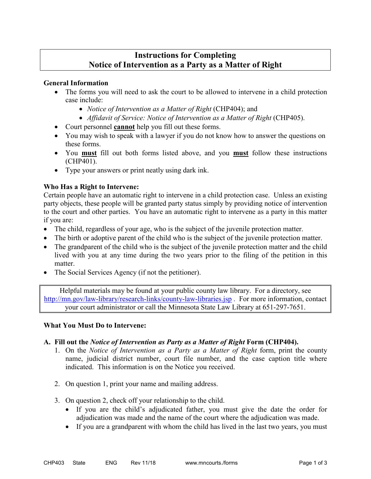# **Instructions for Completing Notice of Intervention as a Party as a Matter of Right**

# **General Information**

- The forms you will need to ask the court to be allowed to intervene in a child protection case include:
	- *Notice of Intervention as a Matter of Right* (CHP404); and
	- *Affidavit of Service: Notice of Intervention as a Matter of Right (CHP405).*
- Court personnel **cannot** help you fill out these forms.
- You may wish to speak with a lawyer if you do not know how to answer the questions on these forms.
- You **must** fill out both forms listed above, and you **must** follow these instructions (CHP401).
- Type your answers or print neatly using dark ink.

# **Who Has a Right to Intervene:**

Certain people have an automatic right to intervene in a child protection case. Unless an existing party objects, these people will be granted party status simply by providing notice of intervention to the court and other parties. You have an automatic right to intervene as a party in this matter if you are:

- The child, regardless of your age, who is the subject of the juvenile protection matter.
- The birth or adoptive parent of the child who is the subject of the juvenile protection matter.
- The grandparent of the child who is the subject of the juvenile protection matter and the child lived with you at any time during the two years prior to the filing of the petition in this matter.
- The Social Services Agency (if not the petitioner).

Helpful materials may be found at your public county law library. For a directory, see <http://mn.gov/law-library/research-links/county-law-libraries.jsp>. For more information, contact your court administrator or call the Minnesota State Law Library at 651-297-7651.

#### **What You Must Do to Intervene:**

# **A. Fill out the** *Notice of Intervention as Party as a Matter of Right* **Form (CHP404).**

- 1. On the *Notice of Intervention as a Party as a Matter of Right* form, print the county name, judicial district number, court file number, and the case caption title where indicated. This information is on the Notice you received.
- 2. On question 1, print your name and mailing address.
- 3. On question 2, check off your relationship to the child.
	- If you are the child's adjudicated father, you must give the date the order for adjudication was made and the name of the court where the adjudication was made.
	- If you are a grandparent with whom the child has lived in the last two years, you must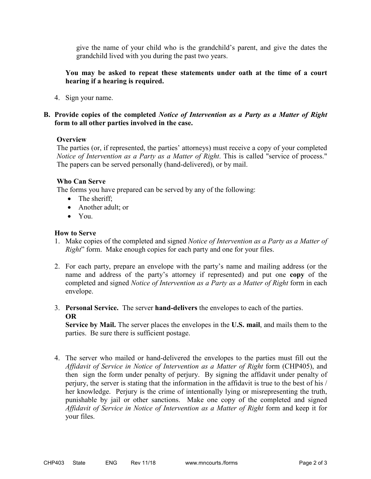give the name of your child who is the grandchild's parent, and give the dates the grandchild lived with you during the past two years.

# **You may be asked to repeat these statements under oath at the time of a court hearing if a hearing is required.**

4. Sign your name.

# **B. Provide copies of the completed** *Notice of Intervention as a Party as a Matter of Right*  **form to all other parties involved in the case.**

#### **Overview**

The parties (or, if represented, the parties' attorneys) must receive a copy of your completed *Notice of Intervention as a Party as a Matter of Right*. This is called "service of process." The papers can be served personally (hand-delivered), or by mail.

#### **Who Can Serve**

The forms you have prepared can be served by any of the following:

- The sheriff;
- Another adult: or
- You.

# **How to Serve**

- 1. Make copies of the completed and signed *Notice of Intervention as a Party as a Matter of Right*" form. Make enough copies for each party and one for your files.
- 2. For each party, prepare an envelope with the party's name and mailing address (or the name and address of the party's attorney if represented) and put one **copy** of the completed and signed *Notice of Intervention as a Party as a Matter of Right* form in each envelope.
- 3. **Personal Service.** The server **hand-delivers** the envelopes to each of the parties. **OR**

**Service by Mail.** The server places the envelopes in the **U.S. mail**, and mails them to the parties. Be sure there is sufficient postage.

4. The server who mailed or hand-delivered the envelopes to the parties must fill out the *Affidavit of Service in Notice of Intervention as a Matter of Right* form (CHP405), and then sign the form under penalty of perjury. By signing the affidavit under penalty of perjury, the server is stating that the information in the affidavit is true to the best of his / her knowledge. Perjury is the crime of intentionally lying or misrepresenting the truth, punishable by jail or other sanctions. Make one copy of the completed and signed *Affidavit of Service in Notice of Intervention as a Matter of Right* form and keep it for your files.